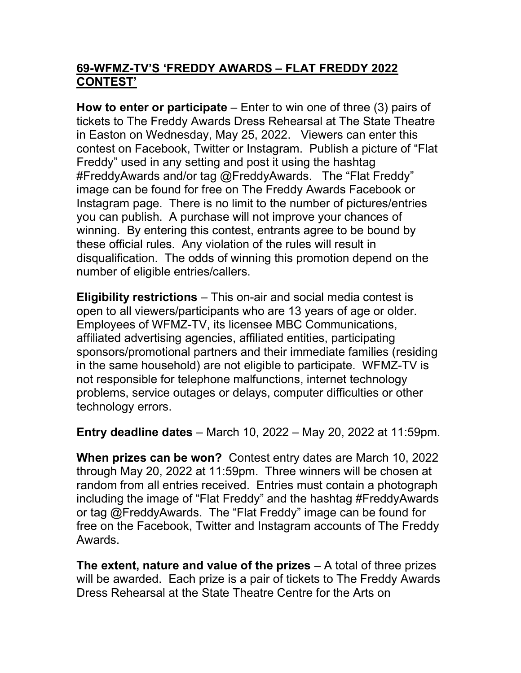## 69-WFMZ-TV'S 'FREDDY AWARDS – FLAT FREDDY 2022 CONTEST'

**How to enter or participate** – Enter to win one of three  $(3)$  pairs of tickets to The Freddy Awards Dress Rehearsal at The State Theatre in Easton on Wednesday, May 25, 2022. Viewers can enter this contest on Facebook, Twitter or Instagram. Publish a picture of "Flat Freddy" used in any setting and post it using the hashtag #FreddyAwards and/or tag @FreddyAwards. The "Flat Freddy" image can be found for free on The Freddy Awards Facebook or Instagram page. There is no limit to the number of pictures/entries you can publish. A purchase will not improve your chances of winning. By entering this contest, entrants agree to be bound by these official rules. Any violation of the rules will result in disqualification. The odds of winning this promotion depend on the number of eligible entries/callers.

Eligibility restrictions – This on-air and social media contest is open to all viewers/participants who are 13 years of age or older. Employees of WFMZ-TV, its licensee MBC Communications, affiliated advertising agencies, affiliated entities, participating sponsors/promotional partners and their immediate families (residing in the same household) are not eligible to participate. WFMZ-TV is not responsible for telephone malfunctions, internet technology problems, service outages or delays, computer difficulties or other technology errors.

Entry deadline dates – March 10, 2022 – May 20, 2022 at 11:59pm.

When prizes can be won? Contest entry dates are March 10, 2022 through May 20, 2022 at 11:59pm. Three winners will be chosen at random from all entries received. Entries must contain a photograph including the image of "Flat Freddy" and the hashtag #FreddyAwards or tag @FreddyAwards. The "Flat Freddy" image can be found for free on the Facebook, Twitter and Instagram accounts of The Freddy Awards.

The extent, nature and value of the prizes  $-$  A total of three prizes will be awarded. Each prize is a pair of tickets to The Freddy Awards Dress Rehearsal at the State Theatre Centre for the Arts on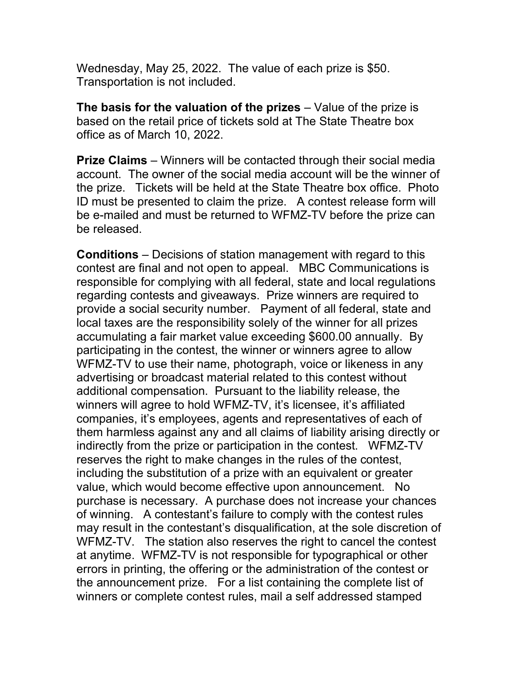Wednesday, May 25, 2022. The value of each prize is \$50. Transportation is not included.

The basis for the valuation of the prizes  $-$  Value of the prize is based on the retail price of tickets sold at The State Theatre box office as of March 10, 2022.

**Prize Claims** – Winners will be contacted through their social media account. The owner of the social media account will be the winner of the prize. Tickets will be held at the State Theatre box office. Photo ID must be presented to claim the prize. A contest release form will be e-mailed and must be returned to WFMZ-TV before the prize can be released.

Conditions – Decisions of station management with regard to this contest are final and not open to appeal. MBC Communications is responsible for complying with all federal, state and local regulations regarding contests and giveaways. Prize winners are required to provide a social security number. Payment of all federal, state and local taxes are the responsibility solely of the winner for all prizes accumulating a fair market value exceeding \$600.00 annually. By participating in the contest, the winner or winners agree to allow WFMZ-TV to use their name, photograph, voice or likeness in any advertising or broadcast material related to this contest without additional compensation. Pursuant to the liability release, the winners will agree to hold WFMZ-TV, it's licensee, it's affiliated companies, it's employees, agents and representatives of each of them harmless against any and all claims of liability arising directly or indirectly from the prize or participation in the contest. WFMZ-TV reserves the right to make changes in the rules of the contest, including the substitution of a prize with an equivalent or greater value, which would become effective upon announcement. No purchase is necessary. A purchase does not increase your chances of winning. A contestant's failure to comply with the contest rules may result in the contestant's disqualification, at the sole discretion of WFMZ-TV. The station also reserves the right to cancel the contest at anytime. WFMZ-TV is not responsible for typographical or other errors in printing, the offering or the administration of the contest or the announcement prize. For a list containing the complete list of winners or complete contest rules, mail a self addressed stamped